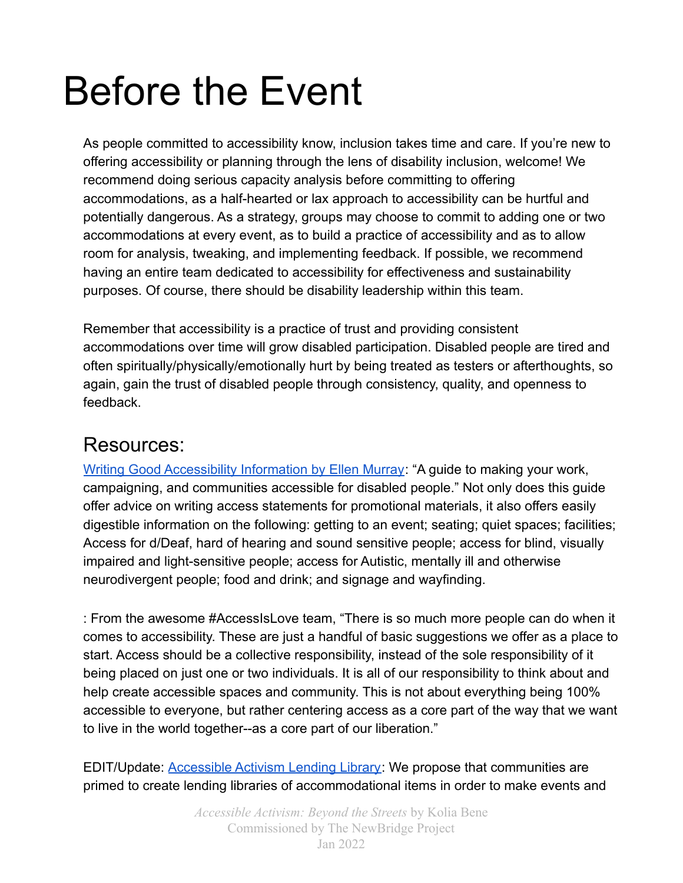# Before the Event

As people committed to accessibility know, inclusion takes time and care. If you're new to offering accessibility or planning through the lens of disability inclusion, welcome! We recommend doing serious capacity analysis before committing to offering accommodations, as a half-hearted or lax approach to accessibility can be hurtful and potentially dangerous. As a strategy, groups may choose to commit to adding one or two accommodations at every event, as to build a practice of accessibility and as to allow room for analysis, tweaking, and implementing feedback. If possible, we recommend having an entire team dedicated to accessibility for effectiveness and sustainability purposes. Of course, there should be disability leadership within this team.

Remember that accessibility is a practice of trust and providing consistent accommodations over time will grow disabled participation. Disabled people are tired and often spiritually/physically/emotionally hurt by being treated as testers or afterthoughts, so again, gain the trust of disabled people through consistency, quality, and openness to feedback.

## Resources:

[Writing Good Accessibility Information by Ellen Murray](https://ellenfromnowon.co.uk/wp-content/uploads/2017/12/WritingGoodAccessibilityInformation.pdf): "A guide to making your work, campaigning, and communities accessible for disabled people." Not only does this guide offer advice on writing access statements for promotional materials, it also offers easily digestible information on the following: getting to an event; seating; quiet spaces; facilities; Access for d/Deaf, hard of hearing and sound sensitive people; access for blind, visually impaired and light-sensitive people; access for Autistic, mentally ill and otherwise neurodivergent people; food and drink; and signage and wayfinding.

[: From the awesome #AccessIsLove team, "There is so much more people can do when it](https://www.disabilityintersectionalitysummit.com/places-to-start) [comes to accessibility. These are just a handful of basic suggestions we offer as a place to](https://www.disabilityintersectionalitysummit.com/places-to-start) [start. Access should be a collective responsibility, instead of the sole responsibility of it](https://www.disabilityintersectionalitysummit.com/places-to-start) [being placed on just one or two individuals. It is all of our responsibility to think about and](https://www.disabilityintersectionalitysummit.com/places-to-start) [help create accessible spaces and community. This is not about everything being 100%](https://www.disabilityintersectionalitysummit.com/places-to-start) [accessible to everyone, but rather centering access as a core part of the way that we want](https://www.disabilityintersectionalitysummit.com/places-to-start) [to live in the world together--as a core part of our liberation."](https://www.disabilityintersectionalitysummit.com/places-to-start)

EDIT/Update: [Accessible Activism Lending Library](https://docs.google.com/document/d/17_9V9pkKAYpCEgluid05CA9_5x7uFmsIILiHBjp_g-w/edit?usp=sharing): We propose that communities are primed to create lending libraries of accommodational items in order to make events and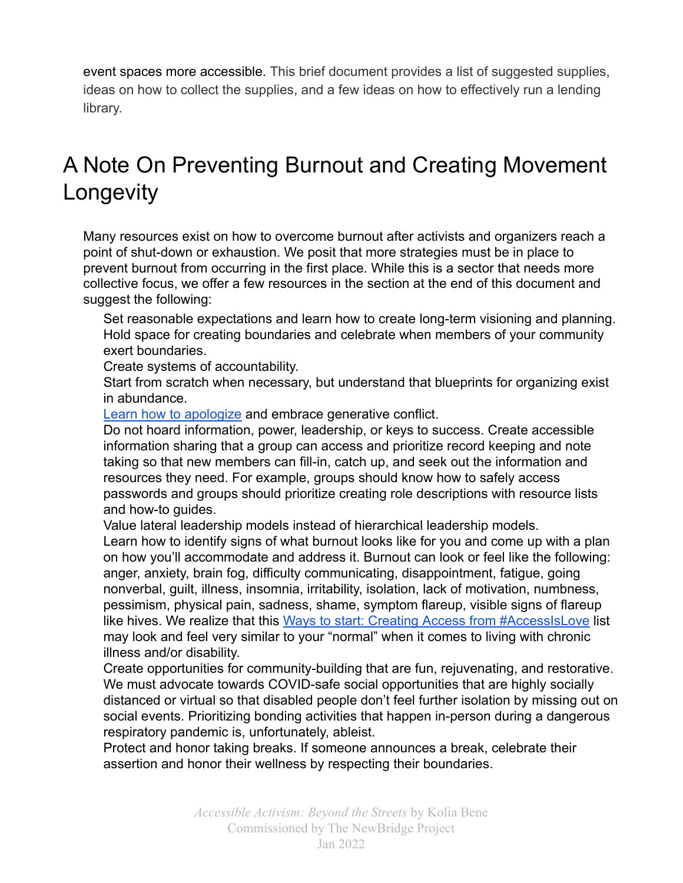event spaces more accessible. This brief document provides a list of suggested supplies, ideas on how to collect the supplies, and a few ideas on how to effectively run a lending library.

# A Note On Preventing Burnout and Creating Movement **Longevity**

Many resources exist on how to overcome burnout after activists and organizers reach a point of shut-down or exhaustion. We posit that more strategies must be in place to prevent burnout from occurring in the first place. While this is a sector that needs more collective focus, we offer a few resources in the section at the end of this document and suggest the following:

Set reasonable expectations and learn how to create long-term visioning and planning. Hold space for creating boundaries and celebrate when members of your community exert boundaries.

Create systems of accountability.

Start from scratch when necessary, but understand that blueprints for organizing exist in abundance.

[Learn how to apologize](https://leavingevidence.wordpress.com/2019/12/18/how-to-give-a-good-apology-part-1-the-four-parts-of-accountability/) and embrace generative conflict.

Do not hoard information, power, leadership, or keys to success. Create accessible information sharing that a group can access and prioritize record keeping and note taking so that new members can fill-in, catch up, and seek out the information and resources they need. For example, groups should know how to safely access passwords and groups should prioritize creating role descriptions with resource lists and how-to guides.

Value lateral leadership models instead of hierarchical leadership models. Learn how to identify signs of what burnout looks like for you and come up with a plan on how you'll accommodate and address it. Burnout can look or feel like the following: anger, anxiety, brain fog, difficulty communicating, disappointment, fatigue, going nonverbal, guilt, illness, insomnia, irritability, isolation, lack of motivation, numbness, pessimism, physical pain, sadness, shame, symptom flareup, visible signs of flareup like hives. We realize that this Ways to start: Creating [Access from #AccessIsLove](https://www.disabilityintersectionalitysummit.com/places-to-start) list may look and feel very similar to your "normal" when it comes to living with chronic illness and/or disability.

Create opportunities for community-building that are fun, rejuvenating, and restorative. We must advocate towards COVID-safe social opportunities that are highly socially distanced or virtual so that disabled people don't feel further isolation by missing out on social events. Prioritizing bonding activities that happen in-person during a dangerous respiratory pandemic is, unfortunately, ableist.

Protect and honor taking breaks. If someone announces a break, celebrate their assertion and honor their wellness by respecting their boundaries.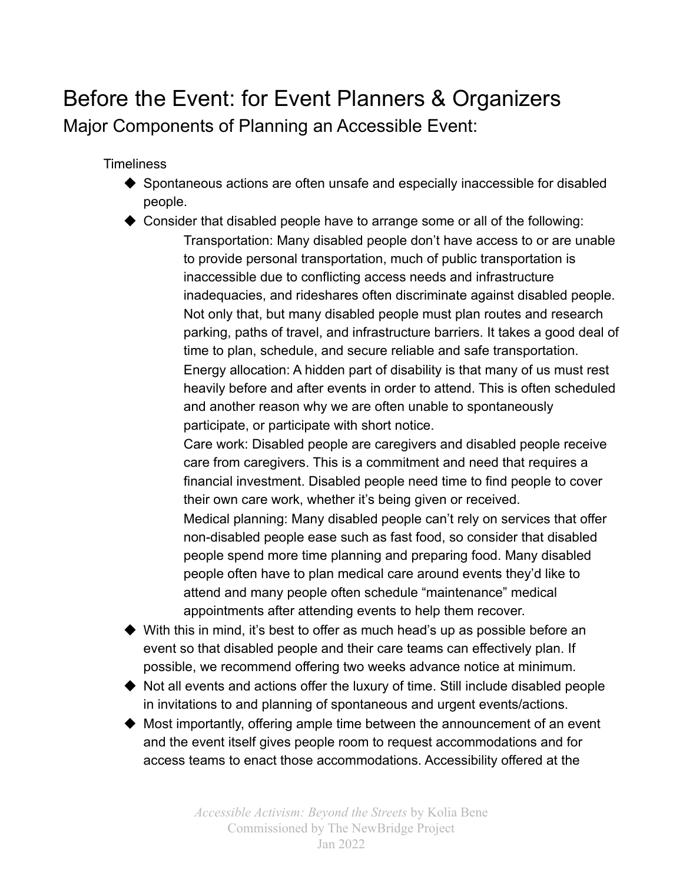# Before the Event: for Event Planners & Organizers Major Components of Planning an Accessible Event:

**Timeliness** 

- ◆ Spontaneous actions are often unsafe and especially inaccessible for disabled people.
- ◆ Consider that disabled people have to arrange some or all of the following: Transportation: Many disabled people don't have access to or are unable to provide personal transportation, much of public transportation is inaccessible due to conflicting access needs and infrastructure inadequacies, and rideshares often discriminate against disabled people. Not only that, but many disabled people must plan routes and research parking, paths of travel, and infrastructure barriers. It takes a good deal of time to plan, schedule, and secure reliable and safe transportation. Energy allocation: A hidden part of disability is that many of us must rest heavily before and after events in order to attend. This is often scheduled and another reason why we are often unable to spontaneously participate, or participate with short notice.

Care work: Disabled people are caregivers and disabled people receive care from caregivers. This is a commitment and need that requires a financial investment. Disabled people need time to find people to cover their own care work, whether it's being given or received. Medical planning: Many disabled people can't rely on services that offer non-disabled people ease such as fast food, so consider that disabled people spend more time planning and preparing food. Many disabled

people often have to plan medical care around events they'd like to attend and many people often schedule "maintenance" medical appointments after attending events to help them recover.

- $\blacklozenge$  With this in mind, it's best to offer as much head's up as possible before an event so that disabled people and their care teams can effectively plan. If possible, we recommend offering two weeks advance notice at minimum.
- ◆ Not all events and actions offer the luxury of time. Still include disabled people in invitations to and planning of spontaneous and urgent events/actions.
- ◆ Most importantly, offering ample time between the announcement of an event and the event itself gives people room to request accommodations and for access teams to enact those accommodations. Accessibility offered at the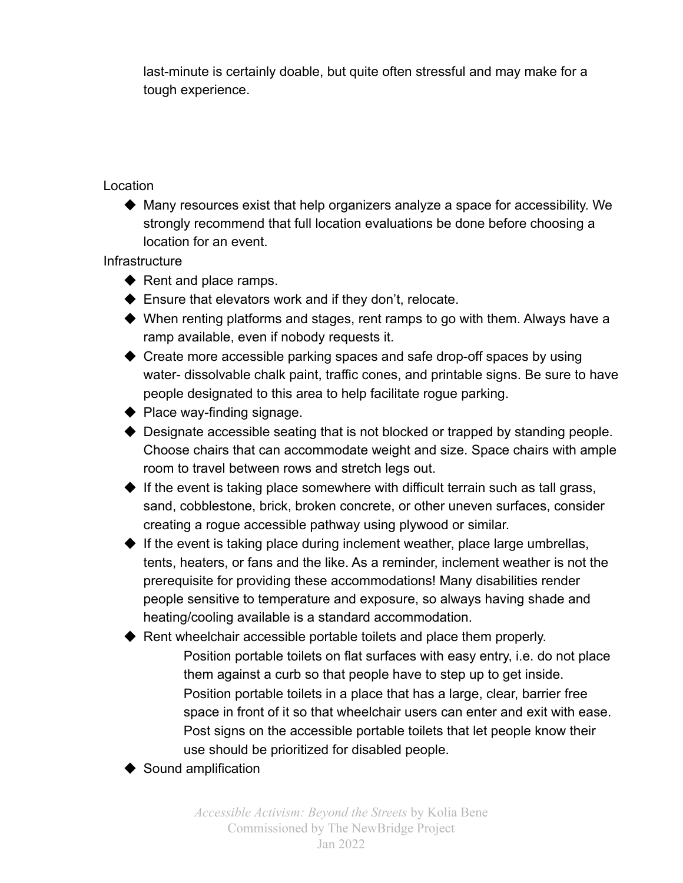last-minute is certainly doable, but quite often stressful and may make for a tough experience.

### Location

◆ Many resources exist that help organizers analyze a space for accessibility. We strongly recommend that full location evaluations be done before choosing a location for an event.

**Infrastructure** 

- ◆ Rent and place ramps.
- ◆ Ensure that elevators work and if they don't, relocate.
- ◆ When renting platforms and stages, rent ramps to go with them. Always have a ramp available, even if nobody requests it.
- ◆ Create more accessible parking spaces and safe drop-off spaces by using water- dissolvable chalk paint, traffic cones, and printable signs. Be sure to have people designated to this area to help facilitate rogue parking.
- ◆ Place way-finding signage.
- $\blacklozenge$  Designate accessible seating that is not blocked or trapped by standing people. Choose chairs that can accommodate weight and size. Space chairs with ample room to travel between rows and stretch legs out.
- $\blacklozenge$  If the event is taking place somewhere with difficult terrain such as tall grass, sand, cobblestone, brick, broken concrete, or other uneven surfaces, consider creating a rogue accessible pathway using plywood or similar.
- $\blacklozenge$  If the event is taking place during inclement weather, place large umbrellas, tents, heaters, or fans and the like. As a reminder, inclement weather is not the prerequisite for providing these accommodations! Many disabilities render people sensitive to temperature and exposure, so always having shade and heating/cooling available is a standard accommodation.

◆ Rent wheelchair accessible portable toilets and place them properly.

- Position portable toilets on flat surfaces with easy entry, i.e. do not place them against a curb so that people have to step up to get inside. Position portable toilets in a place that has a large, clear, barrier free space in front of it so that wheelchair users can enter and exit with ease. Post signs on the accessible portable toilets that let people know their use should be prioritized for disabled people.
- ◆ Sound amplification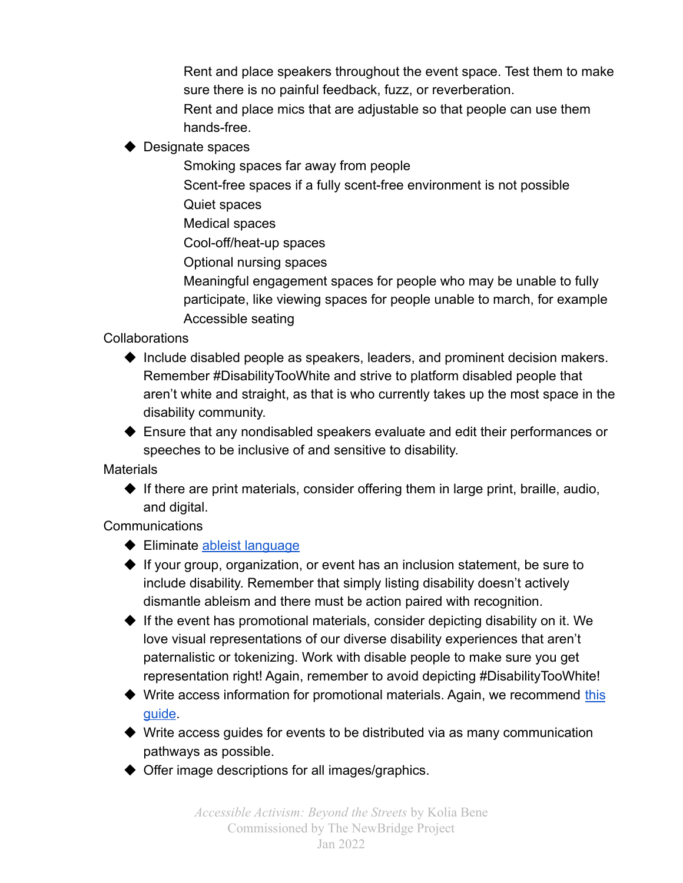Rent and place speakers throughout the event space. Test them to make sure there is no painful feedback, fuzz, or reverberation.

Rent and place mics that are adjustable so that people can use them hands-free.

◆ Designate spaces

Smoking spaces far away from people

Scent-free spaces if a fully scent-free environment is not possible

Quiet spaces

Medical spaces

Cool-off/heat-up spaces

Optional nursing spaces

Meaningful engagement spaces for people who may be unable to fully participate, like viewing spaces for people unable to march, for example Accessible seating

Collaborations

◆ Include disabled people as speakers, leaders, and prominent decision makers. Remember #DisabilityTooWhite and strive to platform disabled people that aren't white and straight, as that is who currently takes up the most space in the disability community.

◆ Ensure that any nondisabled speakers evaluate and edit their performances or speeches to be inclusive of and sensitive to disability.

**Materials** 

◆ If there are print materials, consider offering them in large print, braille, audio, and digital.

Communications

- ◆ Eliminate [ableist language](https://www.autistichoya.com/p/ableist-words-and-terms-to-avoid.html)
- ◆ If your group, organization, or event has an inclusion statement, be sure to include disability. Remember that simply listing disability doesn't actively dismantle ableism and there must be action paired with recognition.
- $\blacklozenge$  If the event has promotional materials, consider depicting disability on it. We love visual representations of our diverse disability experiences that aren't paternalistic or tokenizing. Work with disable people to make sure you get representation right! Again, remember to avoid depicting #DisabilityTooWhite!
- ◆ Write access information for promotional materials. Again, we recommend [this](https://ellenfromnowon.co.uk/wp-content/uploads/2017/12/WritingGoodAccessibilityInformation.pdf) [guide](https://ellenfromnowon.co.uk/wp-content/uploads/2017/12/WritingGoodAccessibilityInformation.pdf).
- $\blacklozenge$  Write access guides for events to be distributed via as many communication pathways as possible.
- ◆ Offer image descriptions for all images/graphics.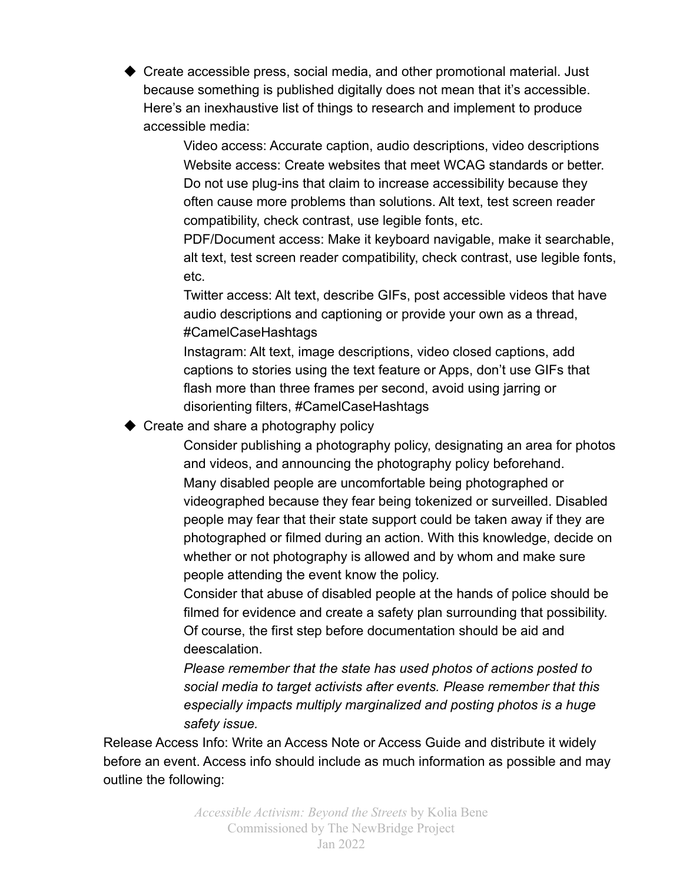◆ Create accessible press, social media, and other promotional material. Just because something is published digitally does not mean that it's accessible. Here's an inexhaustive list of things to research and implement to produce accessible media:

> Video access: Accurate caption, audio descriptions, video descriptions Website access: Create websites that meet WCAG standards or better. Do not use plug-ins that claim to increase accessibility because they often cause more problems than solutions. Alt text, test screen reader compatibility, check contrast, use legible fonts, etc.

PDF/Document access: Make it keyboard navigable, make it searchable, alt text, test screen reader compatibility, check contrast, use legible fonts, etc.

Twitter access: Alt text, describe GIFs, post accessible videos that have audio descriptions and captioning or provide your own as a thread, #CamelCaseHashtags

Instagram: Alt text, image descriptions, video closed captions, add captions to stories using the text feature or Apps, don't use GIFs that flash more than three frames per second, avoid using jarring or disorienting filters, #CamelCaseHashtags

◆ Create and share a photography policy

Consider publishing a photography policy, designating an area for photos and videos, and announcing the photography policy beforehand. Many disabled people are uncomfortable being photographed or videographed because they fear being tokenized or surveilled. Disabled people may fear that their state support could be taken away if they are photographed or filmed during an action. With this knowledge, decide on whether or not photography is allowed and by whom and make sure people attending the event know the policy.

Consider that abuse of disabled people at the hands of police should be filmed for evidence and create a safety plan surrounding that possibility. Of course, the first step before documentation should be aid and deescalation.

*Please remember that the state has used photos of actions posted to social media to target activists after events. Please remember that this especially impacts multiply marginalized and posting photos is a huge safety issue.*

Release Access Info: Write an Access Note or Access Guide and distribute it widely before an event. Access info should include as much information as possible and may outline the following: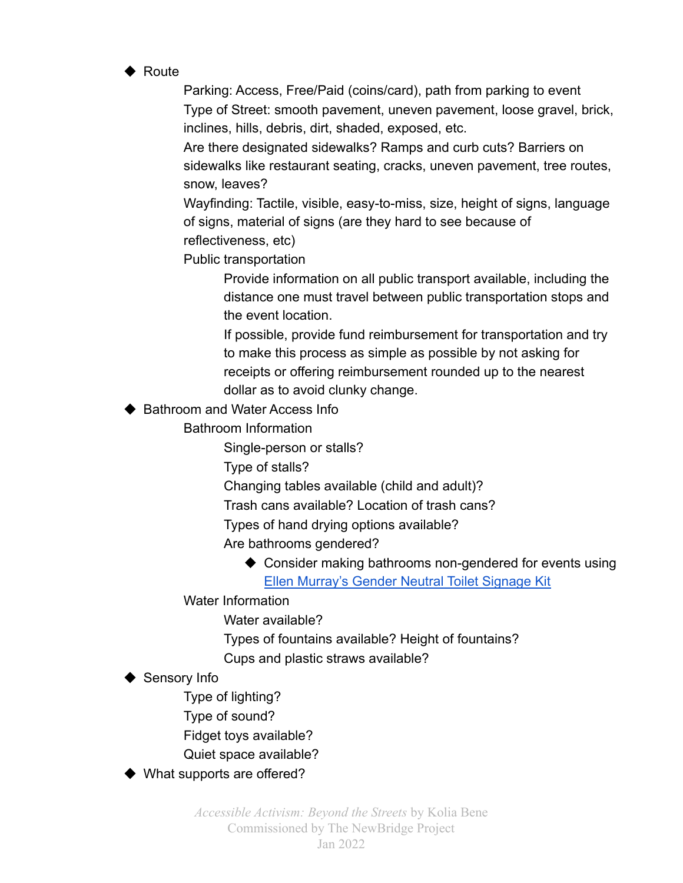◆ Route

Parking: Access, Free/Paid (coins/card), path from parking to event Type of Street: smooth pavement, uneven pavement, loose gravel, brick, inclines, hills, debris, dirt, shaded, exposed, etc.

Are there designated sidewalks? Ramps and curb cuts? Barriers on sidewalks like restaurant seating, cracks, uneven pavement, tree routes, snow, leaves?

Wayfinding: Tactile, visible, easy-to-miss, size, height of signs, language of signs, material of signs (are they hard to see because of reflectiveness, etc)

Public transportation

Provide information on all public transport available, including the distance one must travel between public transportation stops and the event location.

If possible, provide fund reimbursement for transportation and try to make this process as simple as possible by not asking for receipts or offering reimbursement rounded up to the nearest dollar as to avoid clunky change.

#### ◆ Bathroom and Water Access Info

Bathroom Information

Single-person or stalls?

Type of stalls?

Changing tables available (child and adult)?

Trash cans available? Location of trash cans?

Types of hand drying options available?

Are bathrooms gendered?

◆ Consider making bathrooms non-gendered for events using [Ellen Murray's Gender Neutral Toilet Signage Kit](https://ellenfromnowon.co.uk/accessible/)

Water Information

Water available?

Types of fountains available? Height of fountains?

Cups and plastic straws available?

▶ Sensory Info

Type of lighting?

Type of sound?

Fidget toys available?

Quiet space available?

◆ What supports are offered?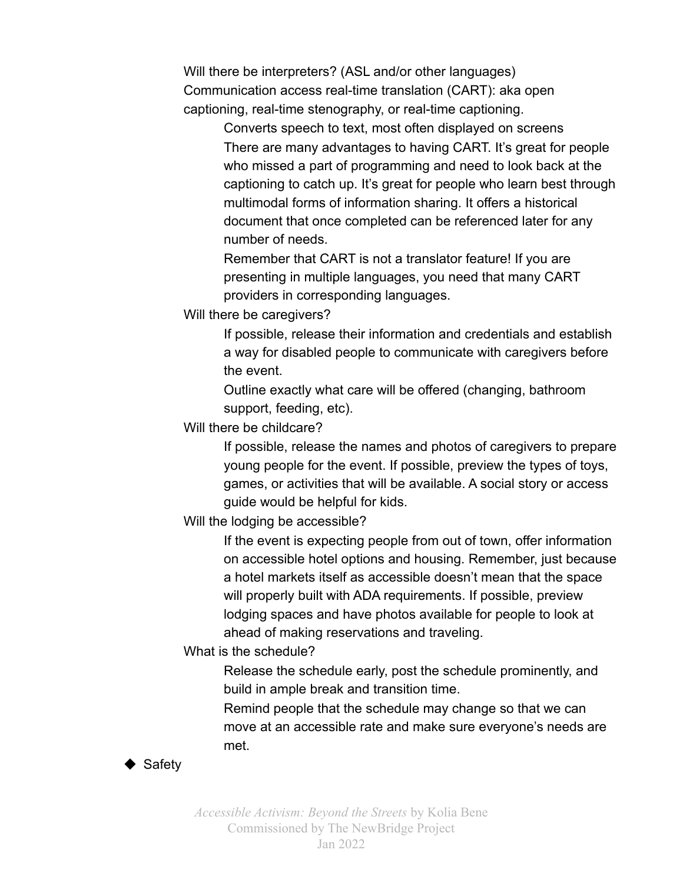Will there be interpreters? (ASL and/or other languages) Communication access real-time translation (CART): aka open captioning, real-time stenography, or real-time captioning.

> Converts speech to text, most often displayed on screens There are many advantages to having CART. It's great for people who missed a part of programming and need to look back at the captioning to catch up. It's great for people who learn best through multimodal forms of information sharing. It offers a historical document that once completed can be referenced later for any number of needs.

Remember that CART is not a translator feature! If you are presenting in multiple languages, you need that many CART providers in corresponding languages.

Will there be caregivers?

If possible, release their information and credentials and establish a way for disabled people to communicate with caregivers before the event.

Outline exactly what care will be offered (changing, bathroom support, feeding, etc).

Will there be childcare?

If possible, release the names and photos of caregivers to prepare young people for the event. If possible, preview the types of toys, games, or activities that will be available. A social story or access guide would be helpful for kids.

Will the lodging be accessible?

If the event is expecting people from out of town, offer information on accessible hotel options and housing. Remember, just because a hotel markets itself as accessible doesn't mean that the space will properly built with ADA requirements. If possible, preview lodging spaces and have photos available for people to look at ahead of making reservations and traveling.

What is the schedule?

Release the schedule early, post the schedule prominently, and build in ample break and transition time.

Remind people that the schedule may change so that we can move at an accessible rate and make sure everyone's needs are met.

#### ◆ Safety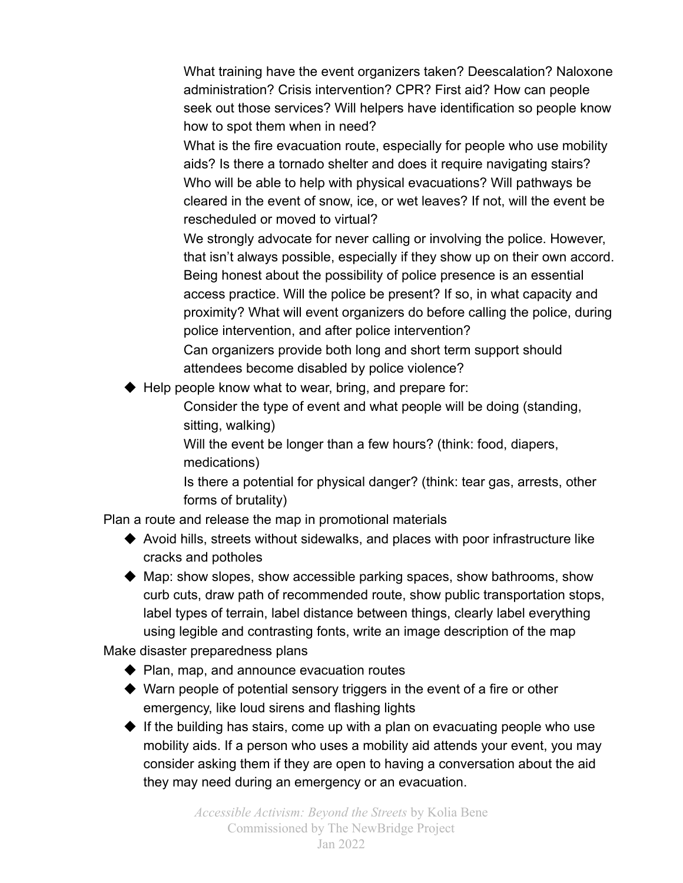What training have the event organizers taken? Deescalation? Naloxone administration? Crisis intervention? CPR? First aid? How can people seek out those services? Will helpers have identification so people know how to spot them when in need?

What is the fire evacuation route, especially for people who use mobility aids? Is there a tornado shelter and does it require navigating stairs? Who will be able to help with physical evacuations? Will pathways be cleared in the event of snow, ice, or wet leaves? If not, will the event be rescheduled or moved to virtual?

We strongly advocate for never calling or involving the police. However, that isn't always possible, especially if they show up on their own accord. Being honest about the possibility of police presence is an essential access practice. Will the police be present? If so, in what capacity and proximity? What will event organizers do before calling the police, during police intervention, and after police intervention?

Can organizers provide both long and short term support should attendees become disabled by police violence?

◆ Help people know what to wear, bring, and prepare for:

Consider the type of event and what people will be doing (standing, sitting, walking)

Will the event be longer than a few hours? (think: food, diapers, medications)

Is there a potential for physical danger? (think: tear gas, arrests, other forms of brutality)

Plan a route and release the map in promotional materials

◆ Avoid hills, streets without sidewalks, and places with poor infrastructure like cracks and potholes

◆ Map: show slopes, show accessible parking spaces, show bathrooms, show curb cuts, draw path of recommended route, show public transportation stops, label types of terrain, label distance between things, clearly label everything using legible and contrasting fonts, write an image description of the map

Make disaster preparedness plans

- ◆ Plan, map, and announce evacuation routes
- ◆ Warn people of potential sensory triggers in the event of a fire or other emergency, like loud sirens and flashing lights

◆ If the building has stairs, come up with a plan on evacuating people who use mobility aids. If a person who uses a mobility aid attends your event, you may consider asking them if they are open to having a conversation about the aid they may need during an emergency or an evacuation.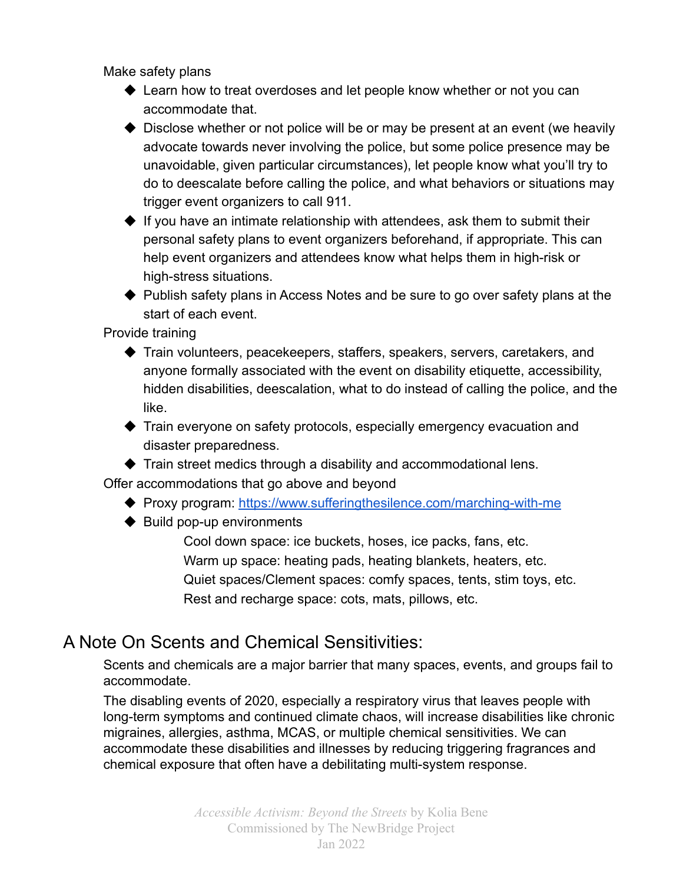Make safety plans

- ◆ Learn how to treat overdoses and let people know whether or not you can accommodate that.
- ◆ Disclose whether or not police will be or may be present at an event (we heavily advocate towards never involving the police, but some police presence may be unavoidable, given particular circumstances), let people know what you'll try to do to deescalate before calling the police, and what behaviors or situations may trigger event organizers to call 911.
- $\blacklozenge$  If you have an intimate relationship with attendees, ask them to submit their personal safety plans to event organizers beforehand, if appropriate. This can help event organizers and attendees know what helps them in high-risk or high-stress situations.
- ◆ Publish safety plans in Access Notes and be sure to go over safety plans at the start of each event.

Provide training

- ◆ Train volunteers, peacekeepers, staffers, speakers, servers, caretakers, and anyone formally associated with the event on disability etiquette, accessibility, hidden disabilities, deescalation, what to do instead of calling the police, and the like.
- ◆ Train everyone on safety protocols, especially emergency evacuation and disaster preparedness.
- $\blacklozenge$  Train street medics through a disability and accommodational lens.

Offer accommodations that go above and beyond

- ◆ Proxy program: <https://www.sufferingthesilence.com/marching-with-me>
- ◆ Build pop-up environments

Cool down space: ice buckets, hoses, ice packs, fans, etc. Warm up space: heating pads, heating blankets, heaters, etc. Quiet spaces/Clement spaces: comfy spaces, tents, stim toys, etc. Rest and recharge space: cots, mats, pillows, etc.

### A Note On Scents and Chemical Sensitivities:

Scents and chemicals are a major barrier that many spaces, events, and groups fail to accommodate.

The disabling events of 2020, especially a respiratory virus that leaves people with long-term symptoms and continued climate chaos, will increase disabilities like chronic migraines, allergies, asthma, MCAS, or multiple chemical sensitivities. We can accommodate these disabilities and illnesses by reducing triggering fragrances and chemical exposure that often have a debilitating multi-system response.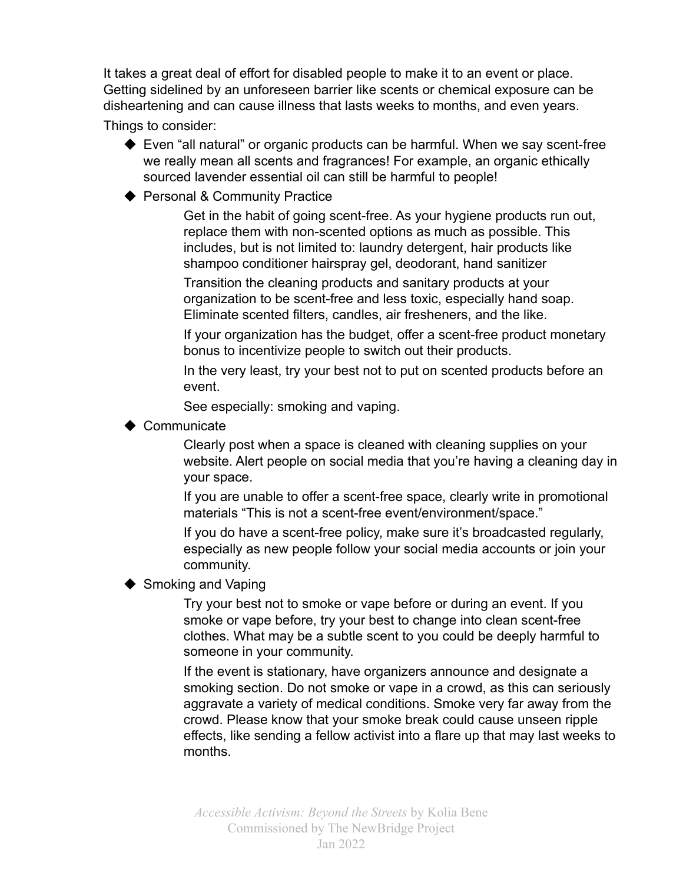It takes a great deal of effort for disabled people to make it to an event or place. Getting sidelined by an unforeseen barrier like scents or chemical exposure can be disheartening and can cause illness that lasts weeks to months, and even years.

Things to consider:

- ◆ Even "all natural" or organic products can be harmful. When we say scent-free we really mean all scents and fragrances! For example, an organic ethically sourced lavender essential oil can still be harmful to people!
- ◆ Personal & Community Practice

Get in the habit of going scent-free. As your hygiene products run out, replace them with non-scented options as much as possible. This includes, but is not limited to: laundry detergent, hair products like shampoo conditioner hairspray gel, deodorant, hand sanitizer

Transition the cleaning products and sanitary products at your organization to be scent-free and less toxic, especially hand soap. Eliminate scented filters, candles, air fresheners, and the like.

If your organization has the budget, offer a scent-free product monetary bonus to incentivize people to switch out their products.

In the very least, try your best not to put on scented products before an event.

See especially: smoking and vaping.

◆ Communicate

Clearly post when a space is cleaned with cleaning supplies on your website. Alert people on social media that you're having a cleaning day in your space.

If you are unable to offer a scent-free space, clearly write in promotional materials "This is not a scent-free event/environment/space."

If you do have a scent-free policy, make sure it's broadcasted regularly, especially as new people follow your social media accounts or join your community.

### ◆ Smoking and Vaping

Try your best not to smoke or vape before or during an event. If you smoke or vape before, try your best to change into clean scent-free clothes. What may be a subtle scent to you could be deeply harmful to someone in your community.

If the event is stationary, have organizers announce and designate a smoking section. Do not smoke or vape in a crowd, as this can seriously aggravate a variety of medical conditions. Smoke very far away from the crowd. Please know that your smoke break could cause unseen ripple effects, like sending a fellow activist into a flare up that may last weeks to months.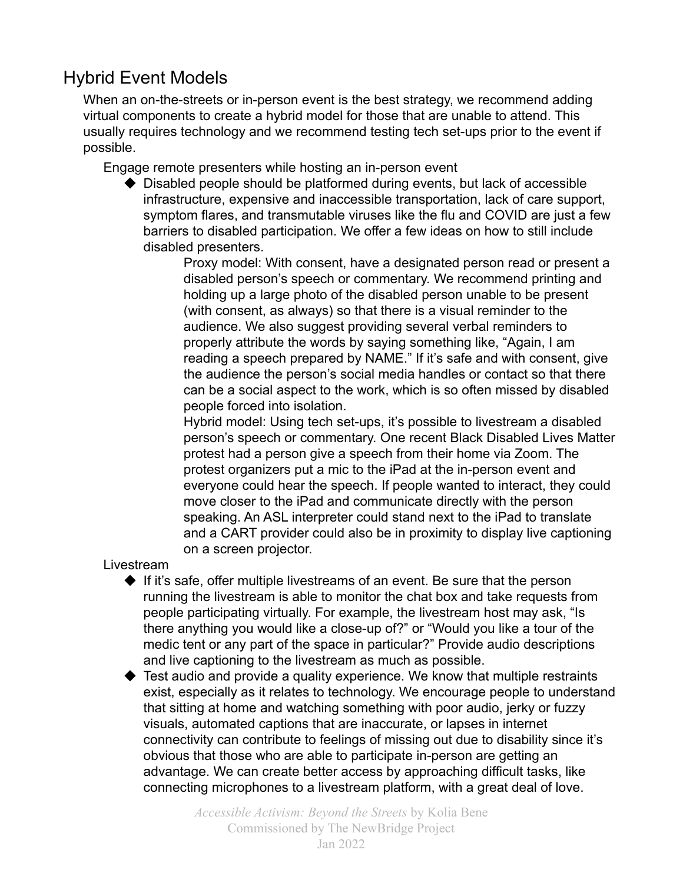### Hybrid Event Models

When an on-the-streets or in-person event is the best strategy, we recommend adding virtual components to create a hybrid model for those that are unable to attend. This usually requires technology and we recommend testing tech set-ups prior to the event if possible.

Engage remote presenters while hosting an in-person event

◆ Disabled people should be platformed during events, but lack of accessible infrastructure, expensive and inaccessible transportation, lack of care support, symptom flares, and transmutable viruses like the flu and COVID are just a few barriers to disabled participation. We offer a few ideas on how to still include disabled presenters.

> Proxy model: With consent, have a designated person read or present a disabled person's speech or commentary. We recommend printing and holding up a large photo of the disabled person unable to be present (with consent, as always) so that there is a visual reminder to the audience. We also suggest providing several verbal reminders to properly attribute the words by saying something like, "Again, I am reading a speech prepared by NAME." If it's safe and with consent, give the audience the person's social media handles or contact so that there can be a social aspect to the work, which is so often missed by disabled people forced into isolation.

> Hybrid model: Using tech set-ups, it's possible to livestream a disabled person's speech or commentary. One recent Black Disabled Lives Matter protest had a person give a speech from their home via Zoom. The protest organizers put a mic to the iPad at the in-person event and everyone could hear the speech. If people wanted to interact, they could move closer to the iPad and communicate directly with the person speaking. An ASL interpreter could stand next to the iPad to translate and a CART provider could also be in proximity to display live captioning on a screen projector.

Livestream

- ◆ If it's safe, offer multiple livestreams of an event. Be sure that the person running the livestream is able to monitor the chat box and take requests from people participating virtually. For example, the livestream host may ask, "Is there anything you would like a close-up of?" or "Would you like a tour of the medic tent or any part of the space in particular?" Provide audio descriptions and live captioning to the livestream as much as possible.
- ◆ Test audio and provide a quality experience. We know that multiple restraints exist, especially as it relates to technology. We encourage people to understand that sitting at home and watching something with poor audio, jerky or fuzzy visuals, automated captions that are inaccurate, or lapses in internet connectivity can contribute to feelings of missing out due to disability since it's obvious that those who are able to participate in-person are getting an advantage. We can create better access by approaching difficult tasks, like connecting microphones to a livestream platform, with a great deal of love.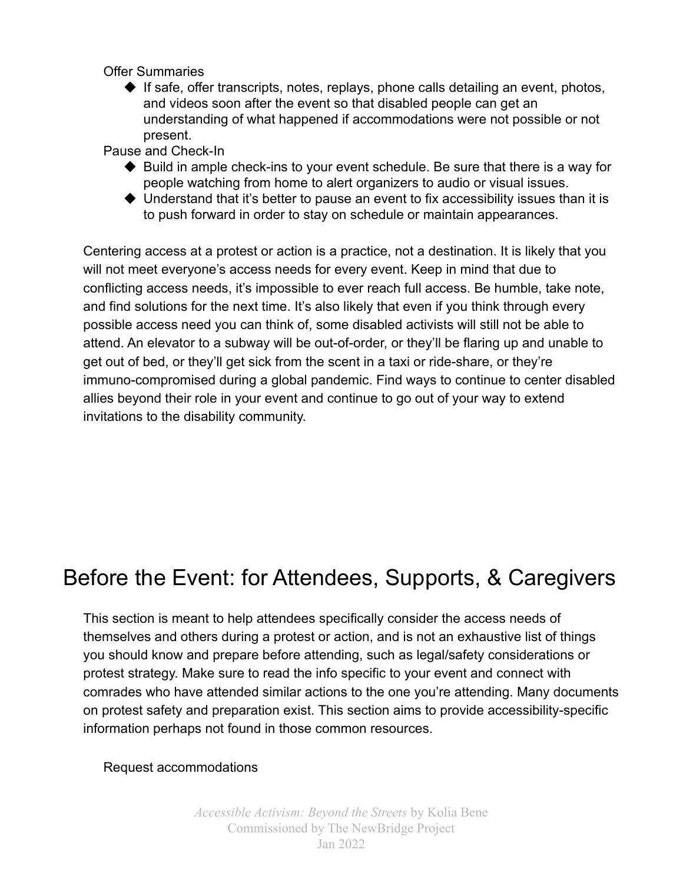Offer Summaries

 $\blacklozenge$  If safe, offer transcripts, notes, replays, phone calls detailing an event, photos, and videos soon after the event so that disabled people can get an understanding of what happened if accommodations were not possible or not present.

Pause and Check-In

- ◆ Build in ample check-ins to your event schedule. Be sure that there is a way for people watching from home to alert organizers to audio or visual issues.
- ◆ Understand that it's better to pause an event to fix accessibility issues than it is to push forward in order to stay on schedule or maintain appearances.

Centering access at a protest or action is a practice, not a destination. It is likely that you will not meet everyone's access needs for every event. Keep in mind that due to conflicting access needs, it's impossible to ever reach full access. Be humble, take note, and find solutions for the next time. It's also likely that even if you think through every possible access need you can think of, some disabled activists will still not be able to attend. An elevator to a subway will be out-of-order, or they'll be flaring up and unable to get out of bed, or they'll get sick from the scent in a taxi or ride-share, or they're immuno-compromised during a global pandemic. Find ways to continue to center disabled allies beyond their role in your event and continue to go out of your way to extend invitations to the disability community.

# Before the Event: for Attendees, Supports, & Caregivers

This section is meant to help attendees specifically consider the access needs of themselves and others during a protest or action, and is not an exhaustive list of things you should know and prepare before attending, such as legal/safety considerations or protest strategy. Make sure to read the info specific to your event and connect with comrades who have attended similar actions to the one you're attending. Many documents on protest safety and preparation exist. This section aims to provide accessibility-specific information perhaps not found in those common resources.

### Request accommodations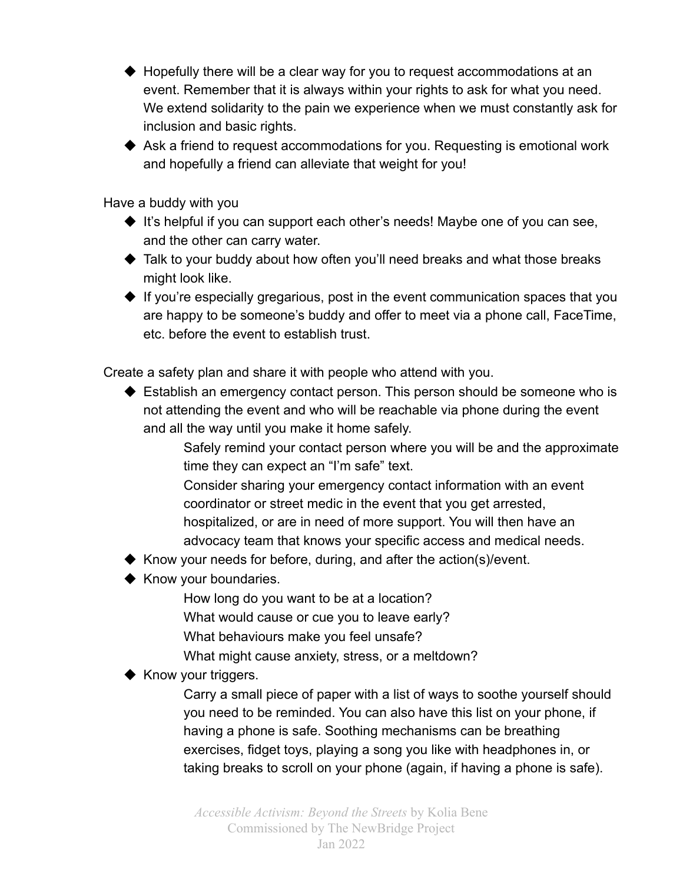- ◆ Hopefully there will be a clear way for you to request accommodations at an event. Remember that it is always within your rights to ask for what you need. We extend solidarity to the pain we experience when we must constantly ask for inclusion and basic rights.
- ◆ Ask a friend to request accommodations for you. Requesting is emotional work and hopefully a friend can alleviate that weight for you!

Have a buddy with you

- ◆ It's helpful if you can support each other's needs! Maybe one of you can see, and the other can carry water.
- ◆ Talk to your buddy about how often you'll need breaks and what those breaks might look like.
- ◆ If you're especially gregarious, post in the event communication spaces that you are happy to be someone's buddy and offer to meet via a phone call, FaceTime, etc. before the event to establish trust.

Create a safety plan and share it with people who attend with you.

- ◆ Establish an emergency contact person. This person should be someone who is not attending the event and who will be reachable via phone during the event and all the way until you make it home safely.
	- Safely remind your contact person where you will be and the approximate time they can expect an "I'm safe" text.
	- Consider sharing your emergency contact information with an event coordinator or street medic in the event that you get arrested, hospitalized, or are in need of more support. You will then have an advocacy team that knows your specific access and medical needs.
- ◆ Know your needs for before, during, and after the action(s)/event.
- ◆ Know your boundaries.
	- How long do you want to be at a location?
	- What would cause or cue you to leave early?
	- What behaviours make you feel unsafe?
	- What might cause anxiety, stress, or a meltdown?

### ◆ Know your triggers.

Carry a small piece of paper with a list of ways to soothe yourself should you need to be reminded. You can also have this list on your phone, if having a phone is safe. Soothing mechanisms can be breathing exercises, fidget toys, playing a song you like with headphones in, or taking breaks to scroll on your phone (again, if having a phone is safe).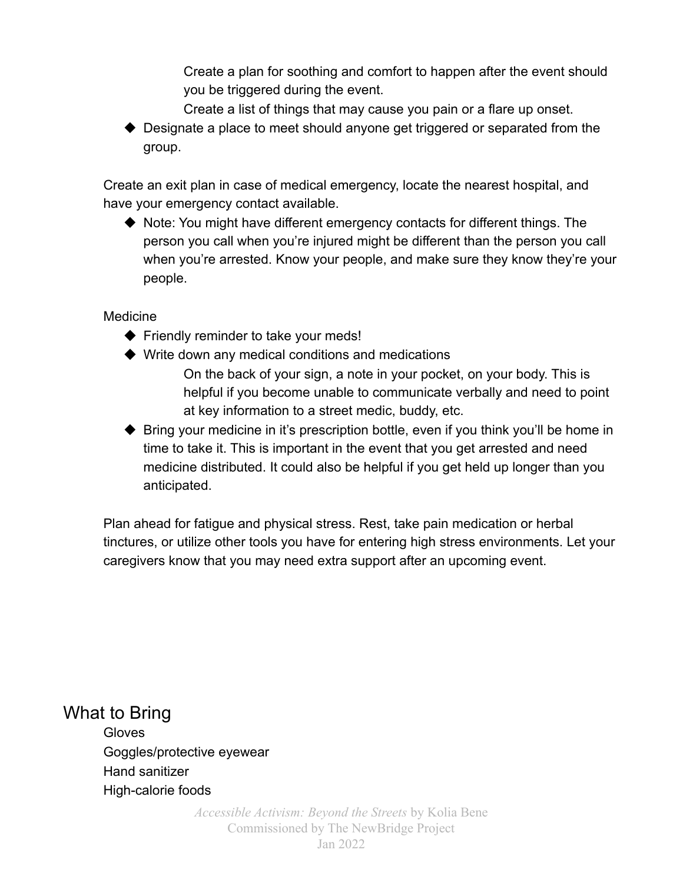Create a plan for soothing and comfort to happen after the event should you be triggered during the event.

- Create a list of things that may cause you pain or a flare up onset.
- ◆ Designate a place to meet should anyone get triggered or separated from the group.

Create an exit plan in case of medical emergency, locate the nearest hospital, and have your emergency contact available.

◆ Note: You might have different emergency contacts for different things. The person you call when you're injured might be different than the person you call when you're arrested. Know your people, and make sure they know they're your people.

#### Medicine

- ◆ Friendly reminder to take your meds!
- ◆ Write down any medical conditions and medications
	- On the back of your sign, a note in your pocket, on your body. This is helpful if you become unable to communicate verbally and need to point at key information to a street medic, buddy, etc.
- ◆ Bring your medicine in it's prescription bottle, even if you think you'll be home in time to take it. This is important in the event that you get arrested and need medicine distributed. It could also be helpful if you get held up longer than you anticipated.

Plan ahead for fatigue and physical stress. Rest, take pain medication or herbal tinctures, or utilize other tools you have for entering high stress environments. Let your caregivers know that you may need extra support after an upcoming event.

What to Bring **Gloves** Goggles/protective eyewear Hand sanitizer High-calorie foods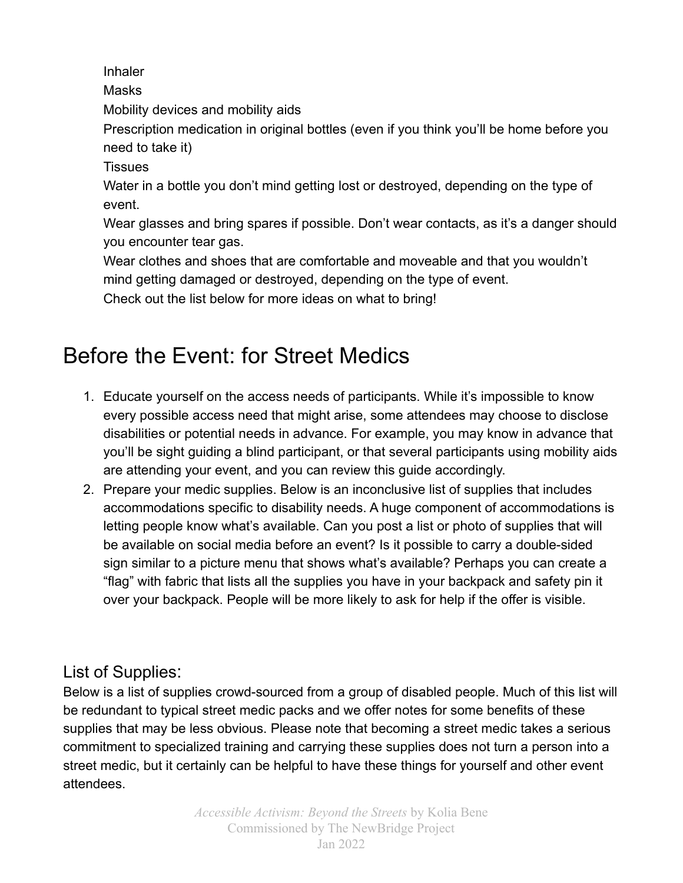Inhaler

Masks

Mobility devices and mobility aids

Prescription medication in original bottles (even if you think you'll be home before you need to take it)

**Tissues** 

Water in a bottle you don't mind getting lost or destroyed, depending on the type of event.

Wear glasses and bring spares if possible. Don't wear contacts, as it's a danger should you encounter tear gas.

Wear clothes and shoes that are comfortable and moveable and that you wouldn't mind getting damaged or destroyed, depending on the type of event.

Check out the list below for more ideas on what to bring!

# Before the Event: for Street Medics

- 1. Educate yourself on the access needs of participants. While it's impossible to know every possible access need that might arise, some attendees may choose to disclose disabilities or potential needs in advance. For example, you may know in advance that you'll be sight guiding a blind participant, or that several participants using mobility aids are attending your event, and you can review this guide accordingly.
- 2. Prepare your medic supplies. Below is an inconclusive list of supplies that includes accommodations specific to disability needs. A huge component of accommodations is letting people know what's available. Can you post a list or photo of supplies that will be available on social media before an event? Is it possible to carry a double-sided sign similar to a picture menu that shows what's available? Perhaps you can create a "flag" with fabric that lists all the supplies you have in your backpack and safety pin it over your backpack. People will be more likely to ask for help if the offer is visible.

### List of Supplies:

Below is a list of supplies crowd-sourced from a group of disabled people. Much of this list will be redundant to typical street medic packs and we offer notes for some benefits of these supplies that may be less obvious. Please note that becoming a street medic takes a serious commitment to specialized training and carrying these supplies does not turn a person into a street medic, but it certainly can be helpful to have these things for yourself and other event attendees.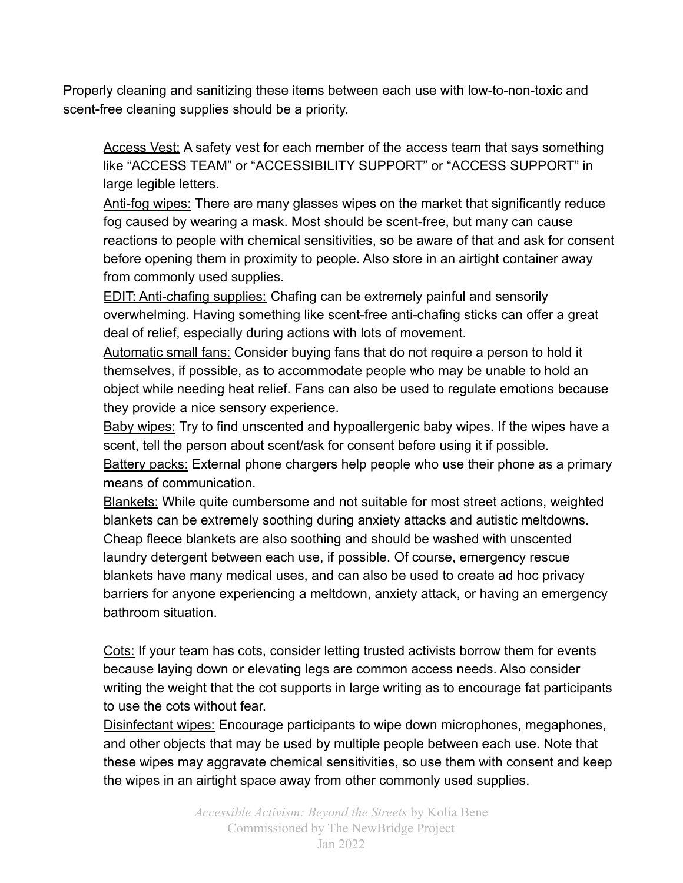Properly cleaning and sanitizing these items between each use with low-to-non-toxic and scent-free cleaning supplies should be a priority.

Access Vest: A safety vest for each member of the access team that says something like "ACCESS TEAM" or "ACCESSIBILITY SUPPORT" or "ACCESS SUPPORT" in large legible letters.

Anti-fog wipes: There are many glasses wipes on the market that significantly reduce fog caused by wearing a mask. Most should be scent-free, but many can cause reactions to people with chemical sensitivities, so be aware of that and ask for consent before opening them in proximity to people. Also store in an airtight container away from commonly used supplies.

EDIT: Anti-chafing supplies: Chafing can be extremely painful and sensorily overwhelming. Having something like scent-free anti-chafing sticks can offer a great deal of relief, especially during actions with lots of movement.

Automatic small fans: Consider buying fans that do not require a person to hold it themselves, if possible, as to accommodate people who may be unable to hold an object while needing heat relief. Fans can also be used to regulate emotions because they provide a nice sensory experience.

Baby wipes: Try to find unscented and hypoallergenic baby wipes. If the wipes have a scent, tell the person about scent/ask for consent before using it if possible.

Battery packs: External phone chargers help people who use their phone as a primary means of communication.

Blankets: While quite cumbersome and not suitable for most street actions, weighted blankets can be extremely soothing during anxiety attacks and autistic meltdowns. Cheap fleece blankets are also soothing and should be washed with unscented laundry detergent between each use, if possible. Of course, emergency rescue blankets have many medical uses, and can also be used to create ad hoc privacy barriers for anyone experiencing a meltdown, anxiety attack, or having an emergency bathroom situation.

Cots: If your team has cots, consider letting trusted activists borrow them for events because laying down or elevating legs are common access needs. Also consider writing the weight that the cot supports in large writing as to encourage fat participants to use the cots without fear.

Disinfectant wipes: Encourage participants to wipe down microphones, megaphones, and other objects that may be used by multiple people between each use. Note that these wipes may aggravate chemical sensitivities, so use them with consent and keep the wipes in an airtight space away from other commonly used supplies.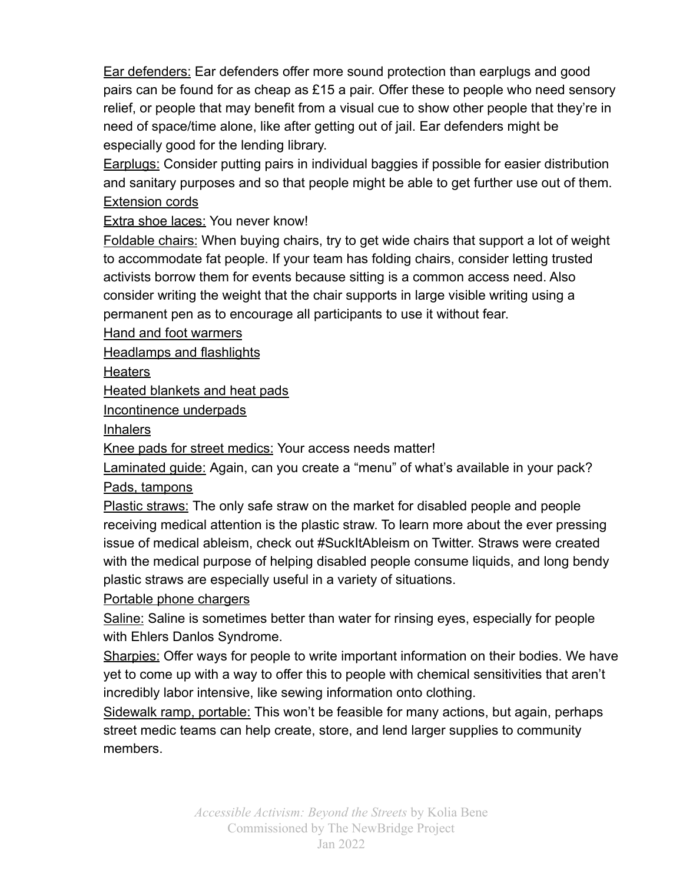Ear defenders: Ear defenders offer more sound protection than earplugs and good pairs can be found for as cheap as £15 a pair. Offer these to people who need sensory relief, or people that may benefit from a visual cue to show other people that they're in need of space/time alone, like after getting out of jail. Ear defenders might be especially good for the lending library.

Earplugs: Consider putting pairs in individual baggies if possible for easier distribution and sanitary purposes and so that people might be able to get further use out of them. Extension cords

### Extra shoe laces: You never know!

Foldable chairs: When buying chairs, try to get wide chairs that support a lot of weight to accommodate fat people. If your team has folding chairs, consider letting trusted activists borrow them for events because sitting is a common access need. Also consider writing the weight that the chair supports in large visible writing using a permanent pen as to encourage all participants to use it without fear.

Hand and foot warmers

Headlamps and flashlights

**Heaters** 

Heated blankets and heat pads

Incontinence underpads

Inhalers

Knee pads for street medics: Your access needs matter!

Laminated guide: Again, can you create a "menu" of what's available in your pack? Pads, tampons

Plastic straws: The only safe straw on the market for disabled people and people receiving medical attention is the plastic straw. To learn more about the ever pressing issue of medical ableism, check out #SuckItAbleism on Twitter. Straws were created with the medical purpose of helping disabled people consume liquids, and long bendy plastic straws are especially useful in a variety of situations.

### Portable phone chargers

Saline: Saline is sometimes better than water for rinsing eyes, especially for people with Ehlers Danlos Syndrome.

Sharpies: Offer ways for people to write important information on their bodies. We have yet to come up with a way to offer this to people with chemical sensitivities that aren't incredibly labor intensive, like sewing information onto clothing.

Sidewalk ramp, portable: This won't be feasible for many actions, but again, perhaps street medic teams can help create, store, and lend larger supplies to community members.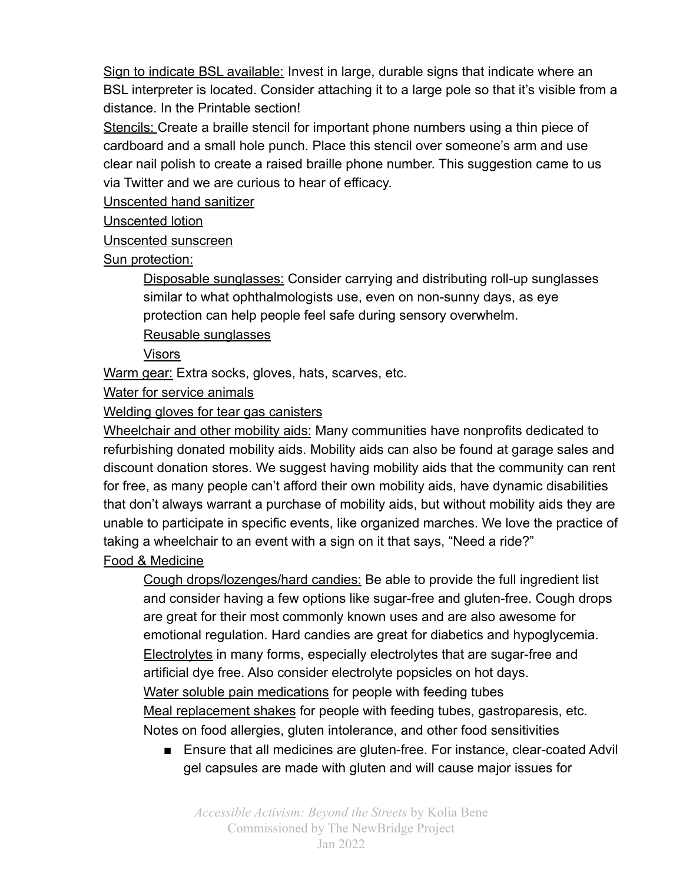Sign to indicate BSL available: Invest in large, durable signs that indicate where an BSL interpreter is located. Consider attaching it to a large pole so that it's visible from a distance. In the Printable section!

Stencils: Create a braille stencil for important phone numbers using a thin piece of cardboard and a small hole punch. Place this stencil over someone's arm and use clear nail polish to create a raised braille phone number. This suggestion came to us via Twitter and we are curious to hear of efficacy.

Unscented hand sanitizer

Unscented lotion

Unscented sunscreen

Sun protection:

Disposable sunglasses: Consider carrying and distributing roll-up sunglasses similar to what ophthalmologists use, even on non-sunny days, as eye protection can help people feel safe during sensory overwhelm. Reusable sunglasses

Visors

Warm gear: Extra socks, gloves, hats, scarves, etc.

Water for service animals

Welding gloves for tear gas canisters

Wheelchair and other mobility aids: Many communities have nonprofits dedicated to refurbishing donated mobility aids. Mobility aids can also be found at garage sales and discount donation stores. We suggest having mobility aids that the community can rent for free, as many people can't afford their own mobility aids, have dynamic disabilities that don't always warrant a purchase of mobility aids, but without mobility aids they are unable to participate in specific events, like organized marches. We love the practice of taking a wheelchair to an event with a sign on it that says, "Need a ride?"

Food & Medicine

Cough drops/lozenges/hard candies: Be able to provide the full ingredient list and consider having a few options like sugar-free and gluten-free. Cough drops are great for their most commonly known uses and are also awesome for emotional regulation. Hard candies are great for diabetics and hypoglycemia. Electrolytes in many forms, especially electrolytes that are sugar-free and artificial dye free. Also consider electrolyte popsicles on hot days. Water soluble pain medications for people with feeding tubes Meal replacement shakes for people with feeding tubes, gastroparesis, etc. Notes on food allergies, gluten intolerance, and other food sensitivities

■ Ensure that all medicines are gluten-free. For instance, clear-coated Advil gel capsules are made with gluten and will cause major issues for